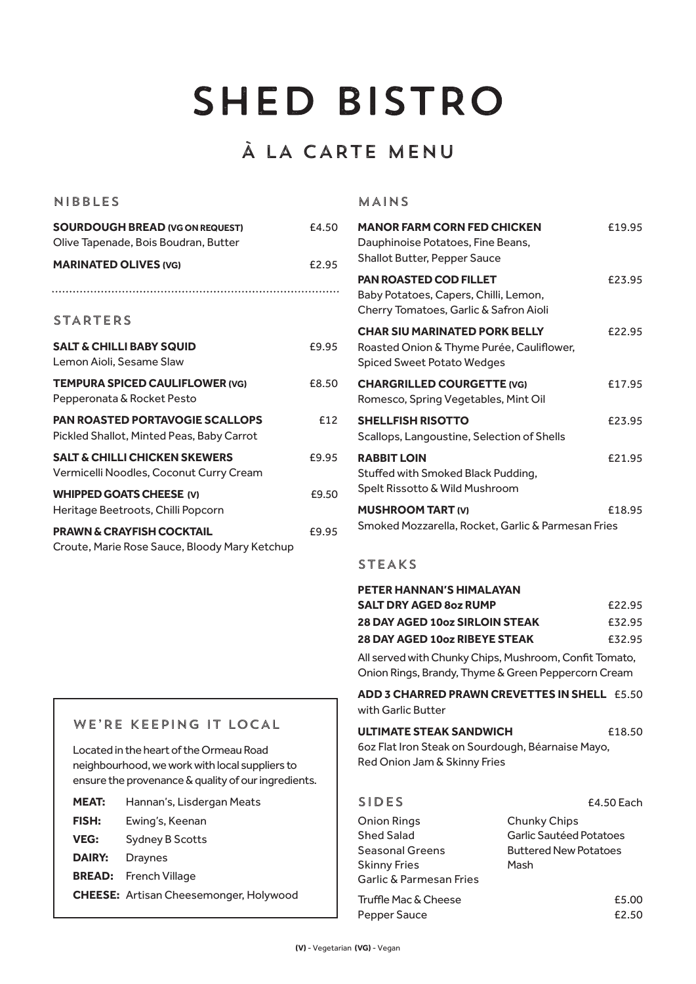# **SHED BISTRO**

## À LA CARTE MENU

### NIBBLES

| <b>SOURDOUGH BREAD (VG ON REQUEST)</b><br>Olive Tapenade, Bois Boudran, Butter        |       |
|---------------------------------------------------------------------------------------|-------|
| <b>MARINATED OLIVES (VG)</b>                                                          | £2.95 |
|                                                                                       |       |
| <b>STARTERS</b>                                                                       |       |
| <b>SALT &amp; CHILLI BABY SQUID</b><br>Lemon Aioli, Sesame Slaw                       | £9.95 |
| <b>TEMPURA SPICED CAULIFLOWER (VG)</b><br>Pepperonata & Rocket Pesto                  | £8.50 |
| <b>PAN ROASTED PORTAVOGIE SCALLOPS</b><br>Pickled Shallot, Minted Peas, Baby Carrot   | £12   |
| <b>SALT &amp; CHILLI CHICKEN SKEWERS</b><br>Vermicelli Noodles, Coconut Curry Cream   | £9.95 |
| <b>WHIPPED GOATS CHEESE (V)</b><br>Heritage Beetroots, Chilli Popcorn                 | £9.50 |
| <b>PRAWN &amp; CRAYFISH COCKTAIL</b><br>Croute, Marie Rose Sauce, Bloody Mary Ketchup | £9.95 |

### MAINS

| <b>MANOR FARM CORN FED CHICKEN</b><br>Dauphinoise Potatoes, Fine Beans,<br>Shallot Butter, Pepper Sauce          | £19.95 |
|------------------------------------------------------------------------------------------------------------------|--------|
| <b>PAN ROASTED COD FILLET</b><br>Baby Potatoes, Capers, Chilli, Lemon,<br>Cherry Tomatoes, Garlic & Safron Aioli | £23.95 |
| <b>CHAR SIU MARINATED PORK BELLY</b><br>Roasted Onion & Thyme Purée, Cauliflower,<br>Spiced Sweet Potato Wedges  | £22.95 |
| <b>CHARGRILLED COURGETTE (VG)</b><br>Romesco, Spring Vegetables, Mint Oil                                        | £17.95 |
| <b>SHELLFISH RISOTTO</b><br>Scallops, Langoustine, Selection of Shells                                           | £23.95 |
| <b>RABBIT LOIN</b><br>Stuffed with Smoked Black Pudding,<br>Spelt Rissotto & Wild Mushroom                       | £21.95 |
| <b>MUSHROOM TART (V)</b><br>Smoked Mozzarella, Rocket, Garlic & Parmesan Fries                                   | £18.95 |

### STEAKS

|            | PETER HANNAN'S HIMALAYAN                                  |                                                                                                               |  |  |
|------------|-----------------------------------------------------------|---------------------------------------------------------------------------------------------------------------|--|--|
|            | <b>SALT DRY AGED 802 RUMP</b>                             | £22.95                                                                                                        |  |  |
|            | <b>28 DAY AGED 10oz SIRLOIN STEAK</b>                     | £32.95                                                                                                        |  |  |
|            | <b>28 DAY AGED 10oz RIBEYE STEAK</b>                      | £32.95                                                                                                        |  |  |
|            |                                                           | All served with Chunky Chips, Mushroom, Confit Tomato,<br>Onion Rings, Brandy, Thyme & Green Peppercorn Cream |  |  |
|            | with Garlic Butter                                        | ADD 3 CHARRED PRAWN CREVETTES IN SHELL £5.50                                                                  |  |  |
| L          | <b>ULTIMATE STEAK SANDWICH</b>                            | £18.50                                                                                                        |  |  |
|            | 60z Flat Iron Steak on Sourdough, Béarnaise Mayo,         |                                                                                                               |  |  |
| ers to     |                                                           | Red Onion Jam & Skinny Fries                                                                                  |  |  |
| gredients. |                                                           |                                                                                                               |  |  |
|            | SIDES                                                     | £4.50 Each                                                                                                    |  |  |
|            | <b>Onion Rings</b>                                        | Chunky Chips                                                                                                  |  |  |
|            | <b>Shed Salad</b>                                         | Garlic Sautéed Potatoes                                                                                       |  |  |
|            | <b>Seasonal Greens</b>                                    | <b>Buttered New Potatoes</b>                                                                                  |  |  |
|            | <b>Skinny Fries</b><br><b>Garlic &amp; Parmesan Fries</b> | Mash                                                                                                          |  |  |
| wood       | Truffle Mac & Cheese                                      | £5.00                                                                                                         |  |  |
|            | Pepper Sauce                                              | £2.50                                                                                                         |  |  |

### WE'RE KEEPING IT LOCA

Located in the heart of the Ormeau Road neighbourhood, we work with local supplie ensure the provenance & quality of our ing

| <b>MEAT:</b>  | Hannan's, Lisdergan Meats                     |
|---------------|-----------------------------------------------|
| <b>FISH:</b>  | Ewing's, Keenan                               |
| <b>VEG:</b>   | <b>Sydney B Scotts</b>                        |
| <b>DAIRY:</b> | <b>Draynes</b>                                |
| <b>BREAD:</b> | <b>French Village</b>                         |
|               | <b>CHEESE:</b> Artisan Cheesemonger, Holywood |
|               |                                               |